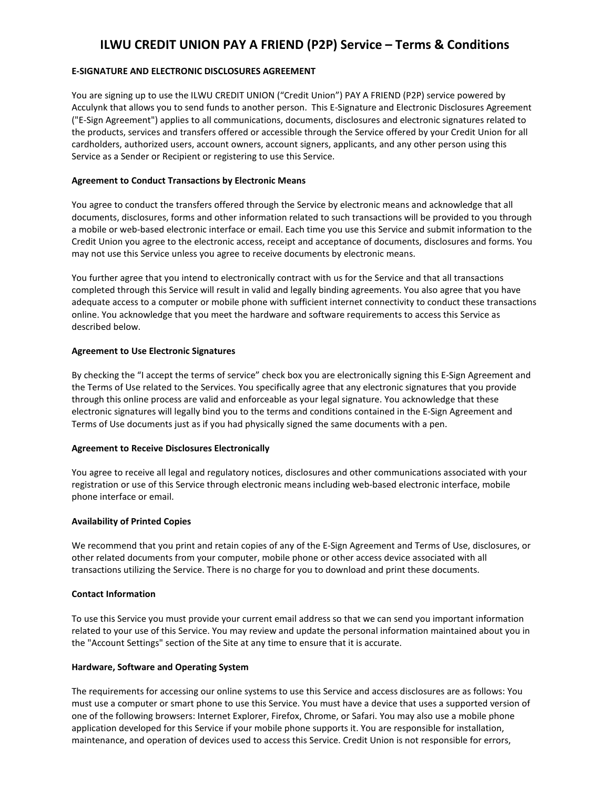# **ILWU CREDIT UNION PAY A FRIEND (P2P) Service – Terms & Conditions**

# **E-SIGNATURE AND ELECTRONIC DISCLOSURES AGREEMENT**

You are signing up to use the ILWU CREDIT UNION ("Credit Union") PAY A FRIEND (P2P) service powered by Acculynk that allows you to send funds to another person. This E-Signature and Electronic Disclosures Agreement ("E-Sign Agreement") applies to all communications, documents, disclosures and electronic signatures related to the products, services and transfers offered or accessible through the Service offered by your Credit Union for all cardholders, authorized users, account owners, account signers, applicants, and any other person using this Service as a Sender or Recipient or registering to use this Service.

## **Agreement to Conduct Transactions by Electronic Means**

You agree to conduct the transfers offered through the Service by electronic means and acknowledge that all documents, disclosures, forms and other information related to such transactions will be provided to you through a mobile or web-based electronic interface or email. Each time you use this Service and submit information to the Credit Union you agree to the electronic access, receipt and acceptance of documents, disclosures and forms. You may not use this Service unless you agree to receive documents by electronic means.

You further agree that you intend to electronically contract with us for the Service and that all transactions completed through this Service will result in valid and legally binding agreements. You also agree that you have adequate access to a computer or mobile phone with sufficient internet connectivity to conduct these transactions online. You acknowledge that you meet the hardware and software requirements to access this Service as described below.

## **Agreement to Use Electronic Signatures**

By checking the "I accept the terms of service" check box you are electronically signing this E-Sign Agreement and the Terms of Use related to the Services. You specifically agree that any electronic signatures that you provide through this online process are valid and enforceable as your legal signature. You acknowledge that these electronic signatures will legally bind you to the terms and conditions contained in the E-Sign Agreement and Terms of Use documents just as if you had physically signed the same documents with a pen.

#### **Agreement to Receive Disclosures Electronically**

You agree to receive all legal and regulatory notices, disclosures and other communications associated with your registration or use of this Service through electronic means including web-based electronic interface, mobile phone interface or email.

#### **Availability of Printed Copies**

We recommend that you print and retain copies of any of the E-Sign Agreement and Terms of Use, disclosures, or other related documents from your computer, mobile phone or other access device associated with all transactions utilizing the Service. There is no charge for you to download and print these documents.

#### **Contact Information**

To use this Service you must provide your current email address so that we can send you important information related to your use of this Service. You may review and update the personal information maintained about you in the "Account Settings" section of the Site at any time to ensure that it is accurate.

# **Hardware, Software and Operating System**

The requirements for accessing our online systems to use this Service and access disclosures are as follows: You must use a computer or smart phone to use this Service. You must have a device that uses a supported version of one of the following browsers: Internet Explorer, Firefox, Chrome, or Safari. You may also use a mobile phone application developed for this Service if your mobile phone supports it. You are responsible for installation, maintenance, and operation of devices used to access this Service. Credit Union is not responsible for errors,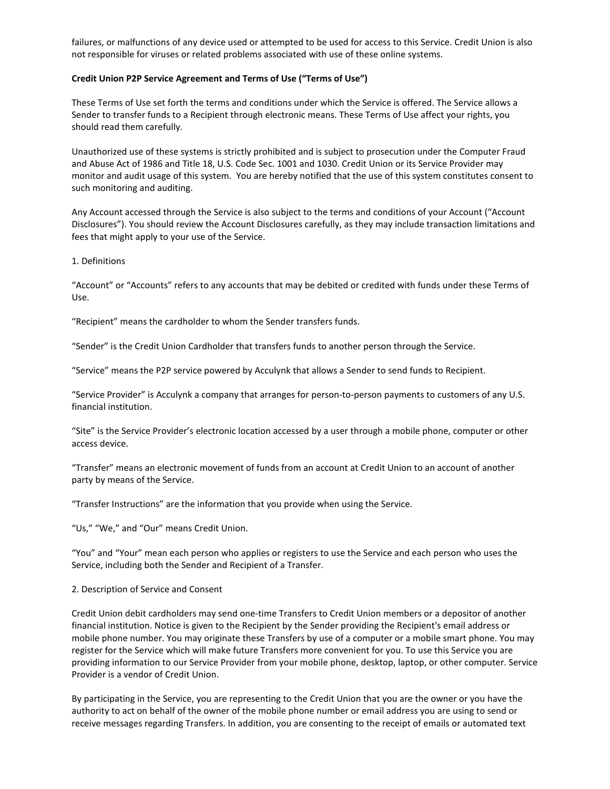failures, or malfunctions of any device used or attempted to be used for access to this Service. Credit Union is also not responsible for viruses or related problems associated with use of these online systems.

#### **Credit Union P2P Service Agreement and Terms of Use ("Terms of Use")**

These Terms of Use set forth the terms and conditions under which the Service is offered. The Service allows a Sender to transfer funds to a Recipient through electronic means. These Terms of Use affect your rights, you should read them carefully.

Unauthorized use of these systems is strictly prohibited and is subject to prosecution under the Computer Fraud and Abuse Act of 1986 and Title 18, U.S. Code Sec. 1001 and 1030. Credit Union or its Service Provider may monitor and audit usage of this system. You are hereby notified that the use of this system constitutes consent to such monitoring and auditing.

Any Account accessed through the Service is also subject to the terms and conditions of your Account ("Account Disclosures"). You should review the Account Disclosures carefully, as they may include transaction limitations and fees that might apply to your use of the Service.

1. Definitions

"Account" or "Accounts" refers to any accounts that may be debited or credited with funds under these Terms of Use.

"Recipient" means the cardholder to whom the Sender transfers funds.

"Sender" is the Credit Union Cardholder that transfers funds to another person through the Service.

"Service" means the P2P service powered by Acculynk that allows a Sender to send funds to Recipient.

"Service Provider" is Acculynk a company that arranges for person-to-person payments to customers of any U.S. financial institution.

"Site" is the Service Provider's electronic location accessed by a user through a mobile phone, computer or other access device.

"Transfer" means an electronic movement of funds from an account at Credit Union to an account of another party by means of the Service.

"Transfer Instructions" are the information that you provide when using the Service.

"Us," "We," and "Our" means Credit Union.

"You" and "Your" mean each person who applies or registers to use the Service and each person who uses the Service, including both the Sender and Recipient of a Transfer.

2. Description of Service and Consent

Credit Union debit cardholders may send one-time Transfers to Credit Union members or a depositor of another financial institution. Notice is given to the Recipient by the Sender providing the Recipient's email address or mobile phone number. You may originate these Transfers by use of a computer or a mobile smart phone. You may register for the Service which will make future Transfers more convenient for you. To use this Service you are providing information to our Service Provider from your mobile phone, desktop, laptop, or other computer. Service Provider is a vendor of Credit Union.

By participating in the Service, you are representing to the Credit Union that you are the owner or you have the authority to act on behalf of the owner of the mobile phone number or email address you are using to send or receive messages regarding Transfers. In addition, you are consenting to the receipt of emails or automated text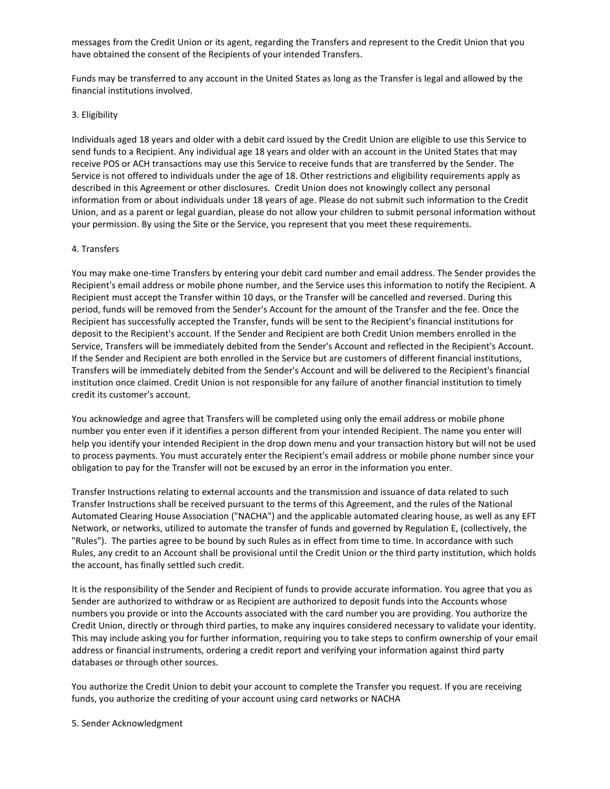messages from the Credit Union or its agent, regarding the Transfers and represent to the Credit Union that you have obtained the consent of the Recipients of your intended Transfers.

Funds may be transferred to any account in the United States as long as the Transfer is legal and allowed by the financial institutions involved.

#### 3. Eligibility

Individuals aged 18 years and older with a debit card issued by the Credit Union are eligible to use this Service to send funds to a Recipient. Any individual age 18 years and older with an account in the United States that may receive POS or ACH transactions may use this Service to receive funds that are transferred by the Sender. The Service is not offered to individuals under the age of 18. Other restrictions and eligibility requirements apply as described in this Agreement or other disclosures. Credit Union does not knowingly collect any personal information from or about individuals under 18 years of age. Please do not submit such information to the Credit Union, and as a parent or legal guardian, please do not allow your children to submit personal information without your permission. By using the Site or the Service, you represent that you meet these requirements.

#### 4. Transfers

You may make one-time Transfers by entering your debit card number and email address. The Sender provides the Recipient's email address or mobile phone number, and the Service uses this information to notify the Recipient. A Recipient must accept the Transfer within 10 days, or the Transfer will be cancelled and reversed. During this period, funds will be removed from the Sender's Account for the amount of the Transfer and the fee. Once the Recipient has successfully accepted the Transfer, funds will be sent to the Recipient's financial institutions for deposit to the Recipient's account. If the Sender and Recipient are both Credit Union members enrolled in the Service, Transfers will be immediately debited from the Sender's Account and reflected in the Recipient's Account. If the Sender and Recipient are both enrolled in the Service but are customers of different financial institutions, Transfers will be immediately debited from the Sender's Account and will be delivered to the Recipient's financial institution once claimed. Credit Union is not responsible for any failure of another financial institution to timely credit its customer's account.

You acknowledge and agree that Transfers will be completed using only the email address or mobile phone number you enter even if it identifies a person different from your intended Recipient. The name you enter will help you identify your intended Recipient in the drop down menu and your transaction history but will not be used to process payments. You must accurately enter the Recipient's email address or mobile phone number since your obligation to pay for the Transfer will not be excused by an error in the information you enter.

Transfer Instructions relating to external accounts and the transmission and issuance of data related to such Transfer Instructions shall be received pursuant to the terms of this Agreement, and the rules of the National Automated Clearing House Association ("NACHA") and the applicable automated clearing house, as well as any EFT Network, or networks, utilized to automate the transfer of funds and governed by Regulation E, (collectively, the "Rules"). The parties agree to be bound by such Rules as in effect from time to time. In accordance with such Rules, any credit to an Account shall be provisional until the Credit Union or the third party institution, which holds the account, has finally settled such credit.

It is the responsibility of the Sender and Recipient of funds to provide accurate information. You agree that you as Sender are authorized to withdraw or as Recipient are authorized to deposit funds into the Accounts whose numbers you provide or into the Accounts associated with the card number you are providing. You authorize the Credit Union, directly or through third parties, to make any inquires considered necessary to validate your identity. This may include asking you for further information, requiring you to take steps to confirm ownership of your email address or financial instruments, ordering a credit report and verifying your information against third party databases or through other sources.

You authorize the Credit Union to debit your account to complete the Transfer you request. If you are receiving funds, you authorize the crediting of your account using card networks or NACHA

#### 5. Sender Acknowledgment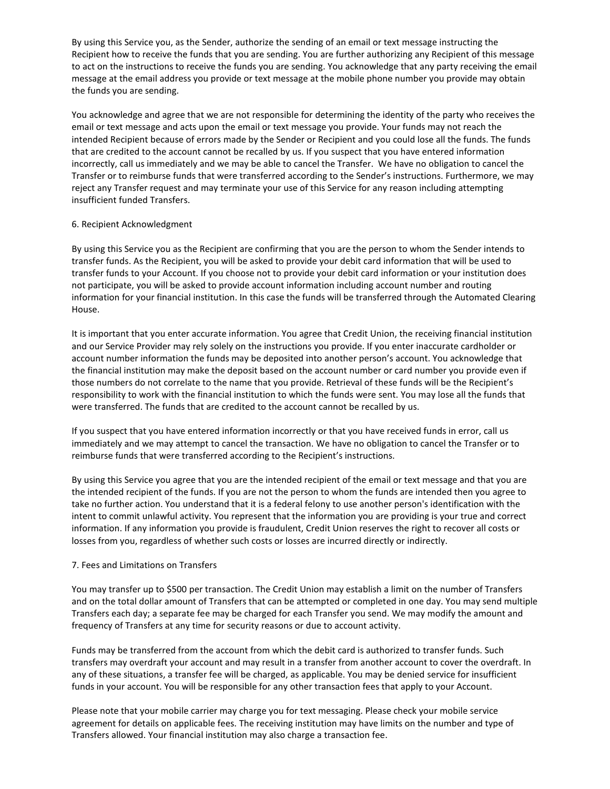By using this Service you, as the Sender, authorize the sending of an email or text message instructing the Recipient how to receive the funds that you are sending. You are further authorizing any Recipient of this message to act on the instructions to receive the funds you are sending. You acknowledge that any party receiving the email message at the email address you provide or text message at the mobile phone number you provide may obtain the funds you are sending.

You acknowledge and agree that we are not responsible for determining the identity of the party who receives the email or text message and acts upon the email or text message you provide. Your funds may not reach the intended Recipient because of errors made by the Sender or Recipient and you could lose all the funds. The funds that are credited to the account cannot be recalled by us. If you suspect that you have entered information incorrectly, call us immediately and we may be able to cancel the Transfer. We have no obligation to cancel the Transfer or to reimburse funds that were transferred according to the Sender's instructions. Furthermore, we may reject any Transfer request and may terminate your use of this Service for any reason including attempting insufficient funded Transfers.

## 6. Recipient Acknowledgment

By using this Service you as the Recipient are confirming that you are the person to whom the Sender intends to transfer funds. As the Recipient, you will be asked to provide your debit card information that will be used to transfer funds to your Account. If you choose not to provide your debit card information or your institution does not participate, you will be asked to provide account information including account number and routing information for your financial institution. In this case the funds will be transferred through the Automated Clearing House.

It is important that you enter accurate information. You agree that Credit Union, the receiving financial institution and our Service Provider may rely solely on the instructions you provide. If you enter inaccurate cardholder or account number information the funds may be deposited into another person's account. You acknowledge that the financial institution may make the deposit based on the account number or card number you provide even if those numbers do not correlate to the name that you provide. Retrieval of these funds will be the Recipient's responsibility to work with the financial institution to which the funds were sent. You may lose all the funds that were transferred. The funds that are credited to the account cannot be recalled by us.

If you suspect that you have entered information incorrectly or that you have received funds in error, call us immediately and we may attempt to cancel the transaction. We have no obligation to cancel the Transfer or to reimburse funds that were transferred according to the Recipient's instructions.

By using this Service you agree that you are the intended recipient of the email or text message and that you are the intended recipient of the funds. If you are not the person to whom the funds are intended then you agree to take no further action. You understand that it is a federal felony to use another person's identification with the intent to commit unlawful activity. You represent that the information you are providing is your true and correct information. If any information you provide is fraudulent, Credit Union reserves the right to recover all costs or losses from you, regardless of whether such costs or losses are incurred directly or indirectly.

# 7. Fees and Limitations on Transfers

You may transfer up to \$500 per transaction. The Credit Union may establish a limit on the number of Transfers and on the total dollar amount of Transfers that can be attempted or completed in one day. You may send multiple Transfers each day; a separate fee may be charged for each Transfer you send. We may modify the amount and frequency of Transfers at any time for security reasons or due to account activity.

Funds may be transferred from the account from which the debit card is authorized to transfer funds. Such transfers may overdraft your account and may result in a transfer from another account to cover the overdraft. In any of these situations, a transfer fee will be charged, as applicable. You may be denied service for insufficient funds in your account. You will be responsible for any other transaction fees that apply to your Account.

Please note that your mobile carrier may charge you for text messaging. Please check your mobile service agreement for details on applicable fees. The receiving institution may have limits on the number and type of Transfers allowed. Your financial institution may also charge a transaction fee.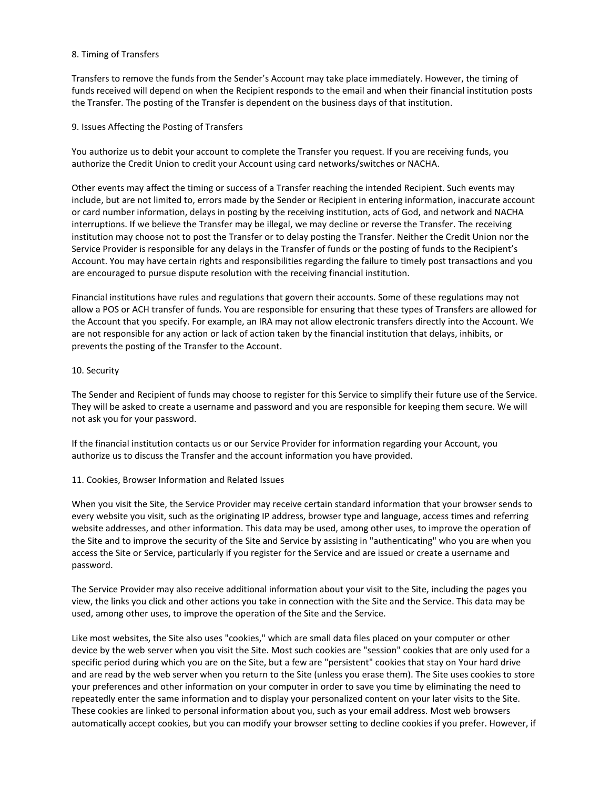## 8. Timing of Transfers

Transfers to remove the funds from the Sender's Account may take place immediately. However, the timing of funds received will depend on when the Recipient responds to the email and when their financial institution posts the Transfer. The posting of the Transfer is dependent on the business days of that institution.

## 9. Issues Affecting the Posting of Transfers

You authorize us to debit your account to complete the Transfer you request. If you are receiving funds, you authorize the Credit Union to credit your Account using card networks/switches or NACHA.

Other events may affect the timing or success of a Transfer reaching the intended Recipient. Such events may include, but are not limited to, errors made by the Sender or Recipient in entering information, inaccurate account or card number information, delays in posting by the receiving institution, acts of God, and network and NACHA interruptions. If we believe the Transfer may be illegal, we may decline or reverse the Transfer. The receiving institution may choose not to post the Transfer or to delay posting the Transfer. Neither the Credit Union nor the Service Provider is responsible for any delays in the Transfer of funds or the posting of funds to the Recipient's Account. You may have certain rights and responsibilities regarding the failure to timely post transactions and you are encouraged to pursue dispute resolution with the receiving financial institution.

Financial institutions have rules and regulations that govern their accounts. Some of these regulations may not allow a POS or ACH transfer of funds. You are responsible for ensuring that these types of Transfers are allowed for the Account that you specify. For example, an IRA may not allow electronic transfers directly into the Account. We are not responsible for any action or lack of action taken by the financial institution that delays, inhibits, or prevents the posting of the Transfer to the Account.

## 10. Security

The Sender and Recipient of funds may choose to register for this Service to simplify their future use of the Service. They will be asked to create a username and password and you are responsible for keeping them secure. We will not ask you for your password.

If the financial institution contacts us or our Service Provider for information regarding your Account, you authorize us to discuss the Transfer and the account information you have provided.

# 11. Cookies, Browser Information and Related Issues

When you visit the Site, the Service Provider may receive certain standard information that your browser sends to every website you visit, such as the originating IP address, browser type and language, access times and referring website addresses, and other information. This data may be used, among other uses, to improve the operation of the Site and to improve the security of the Site and Service by assisting in "authenticating" who you are when you access the Site or Service, particularly if you register for the Service and are issued or create a username and password.

The Service Provider may also receive additional information about your visit to the Site, including the pages you view, the links you click and other actions you take in connection with the Site and the Service. This data may be used, among other uses, to improve the operation of the Site and the Service.

Like most websites, the Site also uses "cookies," which are small data files placed on your computer or other device by the web server when you visit the Site. Most such cookies are "session" cookies that are only used for a specific period during which you are on the Site, but a few are "persistent" cookies that stay on Your hard drive and are read by the web server when you return to the Site (unless you erase them). The Site uses cookies to store your preferences and other information on your computer in order to save you time by eliminating the need to repeatedly enter the same information and to display your personalized content on your later visits to the Site. These cookies are linked to personal information about you, such as your email address. Most web browsers automatically accept cookies, but you can modify your browser setting to decline cookies if you prefer. However, if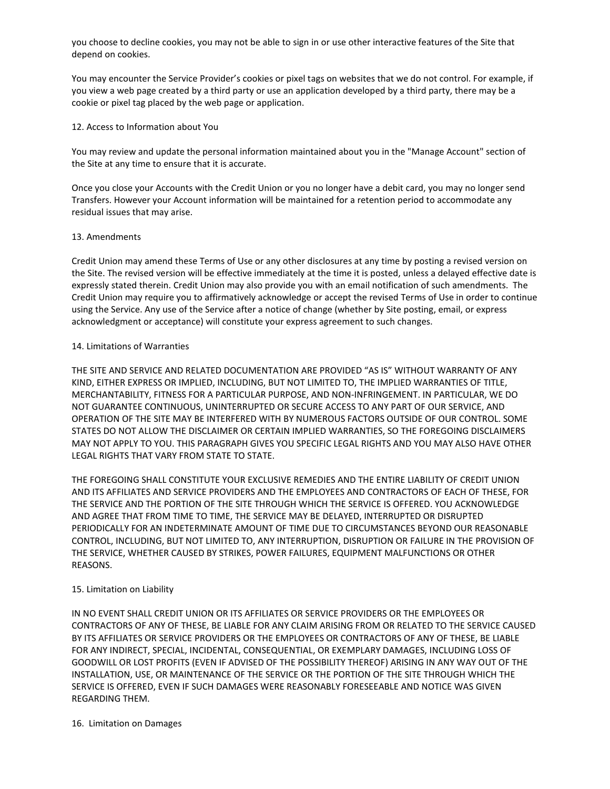you choose to decline cookies, you may not be able to sign in or use other interactive features of the Site that depend on cookies.

You may encounter the Service Provider's cookies or pixel tags on websites that we do not control. For example, if you view a web page created by a third party or use an application developed by a third party, there may be a cookie or pixel tag placed by the web page or application.

#### 12. Access to Information about You

You may review and update the personal information maintained about you in the "Manage Account" section of the Site at any time to ensure that it is accurate.

Once you close your Accounts with the Credit Union or you no longer have a debit card, you may no longer send Transfers. However your Account information will be maintained for a retention period to accommodate any residual issues that may arise.

## 13. Amendments

Credit Union may amend these Terms of Use or any other disclosures at any time by posting a revised version on the Site. The revised version will be effective immediately at the time it is posted, unless a delayed effective date is expressly stated therein. Credit Union may also provide you with an email notification of such amendments. The Credit Union may require you to affirmatively acknowledge or accept the revised Terms of Use in order to continue using the Service. Any use of the Service after a notice of change (whether by Site posting, email, or express acknowledgment or acceptance) will constitute your express agreement to such changes.

## 14. Limitations of Warranties

THE SITE AND SERVICE AND RELATED DOCUMENTATION ARE PROVIDED "AS IS" WITHOUT WARRANTY OF ANY KIND, EITHER EXPRESS OR IMPLIED, INCLUDING, BUT NOT LIMITED TO, THE IMPLIED WARRANTIES OF TITLE, MERCHANTABILITY, FITNESS FOR A PARTICULAR PURPOSE, AND NON-INFRINGEMENT. IN PARTICULAR, WE DO NOT GUARANTEE CONTINUOUS, UNINTERRUPTED OR SECURE ACCESS TO ANY PART OF OUR SERVICE, AND OPERATION OF THE SITE MAY BE INTERFERED WITH BY NUMEROUS FACTORS OUTSIDE OF OUR CONTROL. SOME STATES DO NOT ALLOW THE DISCLAIMER OR CERTAIN IMPLIED WARRANTIES, SO THE FOREGOING DISCLAIMERS MAY NOT APPLY TO YOU. THIS PARAGRAPH GIVES YOU SPECIFIC LEGAL RIGHTS AND YOU MAY ALSO HAVE OTHER LEGAL RIGHTS THAT VARY FROM STATE TO STATE.

THE FOREGOING SHALL CONSTITUTE YOUR EXCLUSIVE REMEDIES AND THE ENTIRE LIABILITY OF CREDIT UNION AND ITS AFFILIATES AND SERVICE PROVIDERS AND THE EMPLOYEES AND CONTRACTORS OF EACH OF THESE, FOR THE SERVICE AND THE PORTION OF THE SITE THROUGH WHICH THE SERVICE IS OFFERED. YOU ACKNOWLEDGE AND AGREE THAT FROM TIME TO TIME, THE SERVICE MAY BE DELAYED, INTERRUPTED OR DISRUPTED PERIODICALLY FOR AN INDETERMINATE AMOUNT OF TIME DUE TO CIRCUMSTANCES BEYOND OUR REASONABLE CONTROL, INCLUDING, BUT NOT LIMITED TO, ANY INTERRUPTION, DISRUPTION OR FAILURE IN THE PROVISION OF THE SERVICE, WHETHER CAUSED BY STRIKES, POWER FAILURES, EQUIPMENT MALFUNCTIONS OR OTHER REASONS.

# 15. Limitation on Liability

IN NO EVENT SHALL CREDIT UNION OR ITS AFFILIATES OR SERVICE PROVIDERS OR THE EMPLOYEES OR CONTRACTORS OF ANY OF THESE, BE LIABLE FOR ANY CLAIM ARISING FROM OR RELATED TO THE SERVICE CAUSED BY ITS AFFILIATES OR SERVICE PROVIDERS OR THE EMPLOYEES OR CONTRACTORS OF ANY OF THESE, BE LIABLE FOR ANY INDIRECT, SPECIAL, INCIDENTAL, CONSEQUENTIAL, OR EXEMPLARY DAMAGES, INCLUDING LOSS OF GOODWILL OR LOST PROFITS (EVEN IF ADVISED OF THE POSSIBILITY THEREOF) ARISING IN ANY WAY OUT OF THE INSTALLATION, USE, OR MAINTENANCE OF THE SERVICE OR THE PORTION OF THE SITE THROUGH WHICH THE SERVICE IS OFFERED, EVEN IF SUCH DAMAGES WERE REASONABLY FORESEEABLE AND NOTICE WAS GIVEN REGARDING THEM.

#### 16. Limitation on Damages